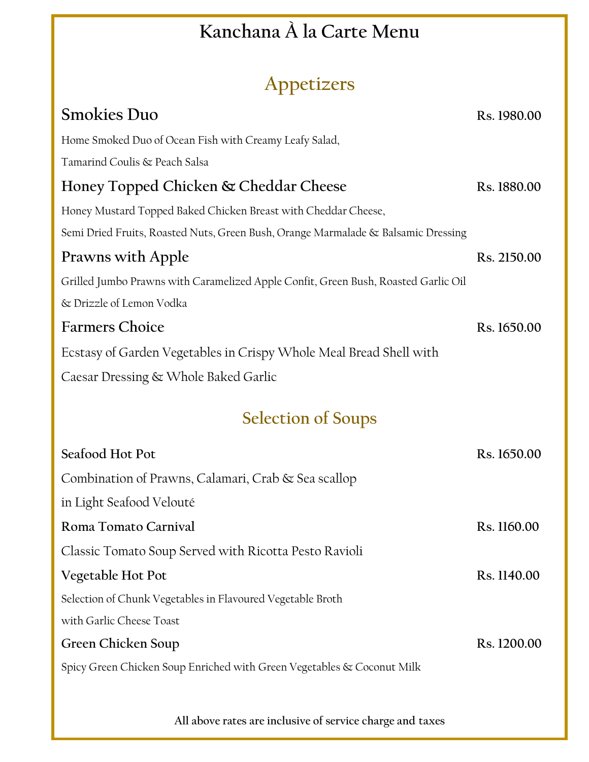## **Kanchana À la Carte Menu**

## **Appetizers**

| $1 + P$                                                                            |             |  |
|------------------------------------------------------------------------------------|-------------|--|
| <b>Smokies Duo</b>                                                                 | Rs. 1980.00 |  |
| Home Smoked Duo of Ocean Fish with Creamy Leafy Salad,                             |             |  |
| Tamarind Coulis & Peach Salsa                                                      |             |  |
| Honey Topped Chicken & Cheddar Cheese                                              | Rs. 1880.00 |  |
| Honey Mustard Topped Baked Chicken Breast with Cheddar Cheese,                     |             |  |
| Semi Dried Fruits, Roasted Nuts, Green Bush, Orange Marmalade & Balsamic Dressing  |             |  |
| <b>Prawns with Apple</b>                                                           | Rs. 2150.00 |  |
| Grilled Jumbo Prawns with Caramelized Apple Confit, Green Bush, Roasted Garlic Oil |             |  |
| & Drizzle of Lemon Vodka                                                           |             |  |
| <b>Farmers Choice</b>                                                              | Rs. 1650.00 |  |
| Ecstasy of Garden Vegetables in Crispy Whole Meal Bread Shell with                 |             |  |
| Caesar Dressing & Whole Baked Garlic                                               |             |  |
| <b>Selection of Soups</b>                                                          |             |  |
| Seafood Hot Pot                                                                    | Rs. 1650.00 |  |
| Combination of Prawns, Calamari, Crab & Sea scallop                                |             |  |
| in Light Seafood Velouté                                                           |             |  |
| Roma Tomato Carnival                                                               | Rs. 1160.00 |  |
| Classic Tomato Soup Served with Ricotta Pesto Ravioli                              |             |  |
| Vegetable Hot Pot                                                                  | Rs. 1140.00 |  |
| Selection of Chunk Vegetables in Flavoured Vegetable Broth                         |             |  |
| with Garlic Cheese Toast                                                           |             |  |
| Green Chicken Soup                                                                 | Rs. 1200.00 |  |
| Spicy Green Chicken Soup Enriched with Green Vegetables & Coconut Milk             |             |  |
|                                                                                    |             |  |

**All above rates are inclusive of service charge and taxes**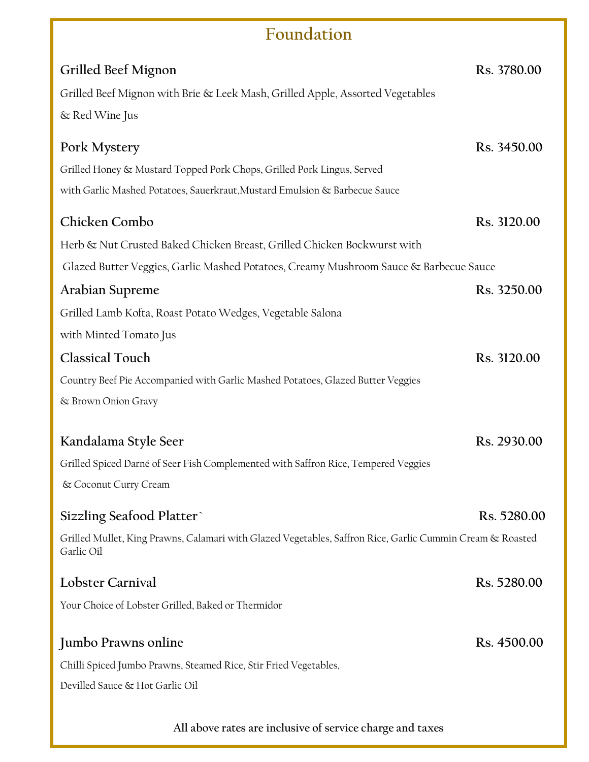## **Foundation**

| Grilled Beef Mignon                                                                                                     | Rs. 3780.00 |
|-------------------------------------------------------------------------------------------------------------------------|-------------|
| Grilled Beef Mignon with Brie & Leek Mash, Grilled Apple, Assorted Vegetables                                           |             |
| & Red Wine Jus                                                                                                          |             |
| Pork Mystery                                                                                                            | Rs. 3450.00 |
| Grilled Honey & Mustard Topped Pork Chops, Grilled Pork Lingus, Served                                                  |             |
| with Garlic Mashed Potatoes, Sauerkraut, Mustard Emulsion & Barbecue Sauce                                              |             |
| Chicken Combo                                                                                                           | Rs. 3120.00 |
| Herb & Nut Crusted Baked Chicken Breast, Grilled Chicken Bockwurst with                                                 |             |
| Glazed Butter Veggies, Garlic Mashed Potatoes, Creamy Mushroom Sauce & Barbecue Sauce                                   |             |
| Arabian Supreme                                                                                                         | Rs. 3250.00 |
| Grilled Lamb Kofta, Roast Potato Wedges, Vegetable Salona                                                               |             |
| with Minted Tomato Jus                                                                                                  |             |
| <b>Classical Touch</b>                                                                                                  | Rs. 3120.00 |
| Country Beef Pie Accompanied with Garlic Mashed Potatoes, Glazed Butter Veggies                                         |             |
| & Brown Onion Gravy                                                                                                     |             |
|                                                                                                                         |             |
| Kandalama Style Seer                                                                                                    | Rs. 2930.00 |
| Grilled Spiced Darné of Seer Fish Complemented with Saffron Rice, Tempered Veggies                                      |             |
| & Coconut Curry Cream                                                                                                   |             |
| Sizzling Seafood Platter                                                                                                | Rs. 5280.00 |
| Grilled Mullet, King Prawns, Calamari with Glazed Vegetables, Saffron Rice, Garlic Cummin Cream & Roasted<br>Garlic Oil |             |
| Lobster Carnival                                                                                                        | Rs. 5280.00 |
| Your Choice of Lobster Grilled, Baked or Thermidor                                                                      |             |
| Jumbo Prawns online                                                                                                     | Rs. 4500.00 |
| Chilli Spiced Jumbo Prawns, Steamed Rice, Stir Fried Vegetables,                                                        |             |
| Devilled Sauce & Hot Garlic Oil                                                                                         |             |
|                                                                                                                         |             |

**All above rates are inclusive of service charge and taxes**